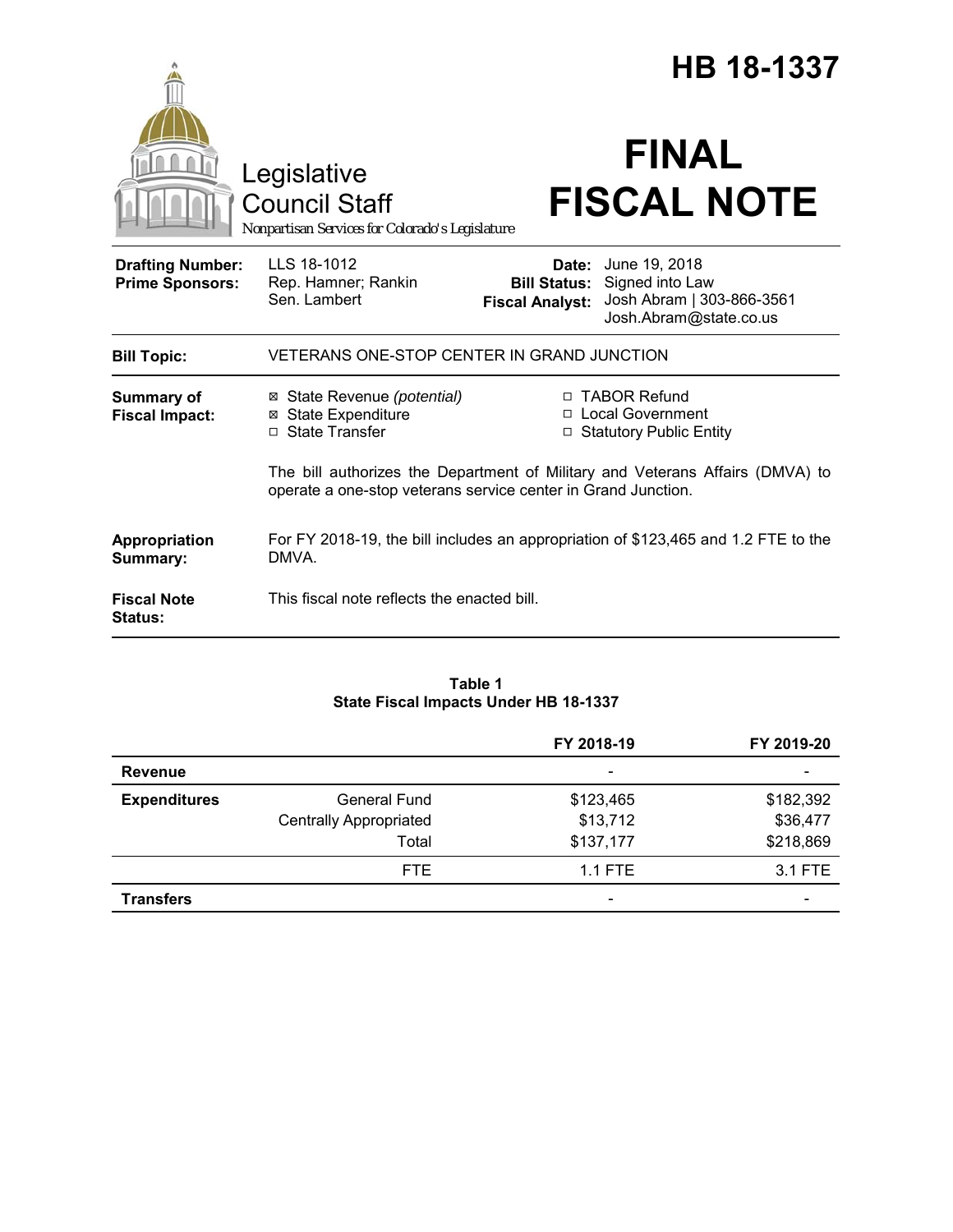|                                                   |                                                                                                                                                |                                               | HB 18-1337<br><b>FINAL</b>                                                                           |  |
|---------------------------------------------------|------------------------------------------------------------------------------------------------------------------------------------------------|-----------------------------------------------|------------------------------------------------------------------------------------------------------|--|
|                                                   | Legislative<br><b>Council Staff</b><br>Nonpartisan Services for Colorado's Legislature                                                         |                                               | <b>FISCAL NOTE</b>                                                                                   |  |
| <b>Drafting Number:</b><br><b>Prime Sponsors:</b> | LLS 18-1012<br>Rep. Hamner; Rankin<br>Sen. Lambert                                                                                             | <b>Bill Status:</b><br><b>Fiscal Analyst:</b> | <b>Date:</b> June 19, 2018<br>Signed into Law<br>Josh Abram   303-866-3561<br>Josh.Abram@state.co.us |  |
| <b>Bill Topic:</b>                                | VETERANS ONE-STOP CENTER IN GRAND JUNCTION                                                                                                     |                                               |                                                                                                      |  |
| <b>Summary of</b><br><b>Fiscal Impact:</b>        | ⊠ State Revenue (potential)<br><b>⊠</b> State Expenditure<br>□ State Transfer                                                                  |                                               | □ TABOR Refund<br>□ Local Government<br>□ Statutory Public Entity                                    |  |
|                                                   | The bill authorizes the Department of Military and Veterans Affairs (DMVA) to<br>operate a one-stop veterans service center in Grand Junction. |                                               |                                                                                                      |  |
| Appropriation<br>Summary:                         | DMVA.                                                                                                                                          |                                               | For FY 2018-19, the bill includes an appropriation of \$123,465 and 1.2 FTE to the                   |  |
| <b>Fiscal Note</b><br>Status:                     | This fiscal note reflects the enacted bill.                                                                                                    |                                               |                                                                                                      |  |

# **Table 1 State Fiscal Impacts Under HB 18-1337**

|                     |                               | FY 2018-19               | FY 2019-20 |
|---------------------|-------------------------------|--------------------------|------------|
| <b>Revenue</b>      |                               | $\overline{\phantom{0}}$ |            |
| <b>Expenditures</b> | <b>General Fund</b>           | \$123,465                | \$182,392  |
|                     | <b>Centrally Appropriated</b> | \$13,712                 | \$36,477   |
|                     | Total                         | \$137,177                | \$218,869  |
|                     | FTE.                          | $1.1$ FTE                | 3.1 FTE    |
| <b>Transfers</b>    |                               | $\overline{\phantom{0}}$ |            |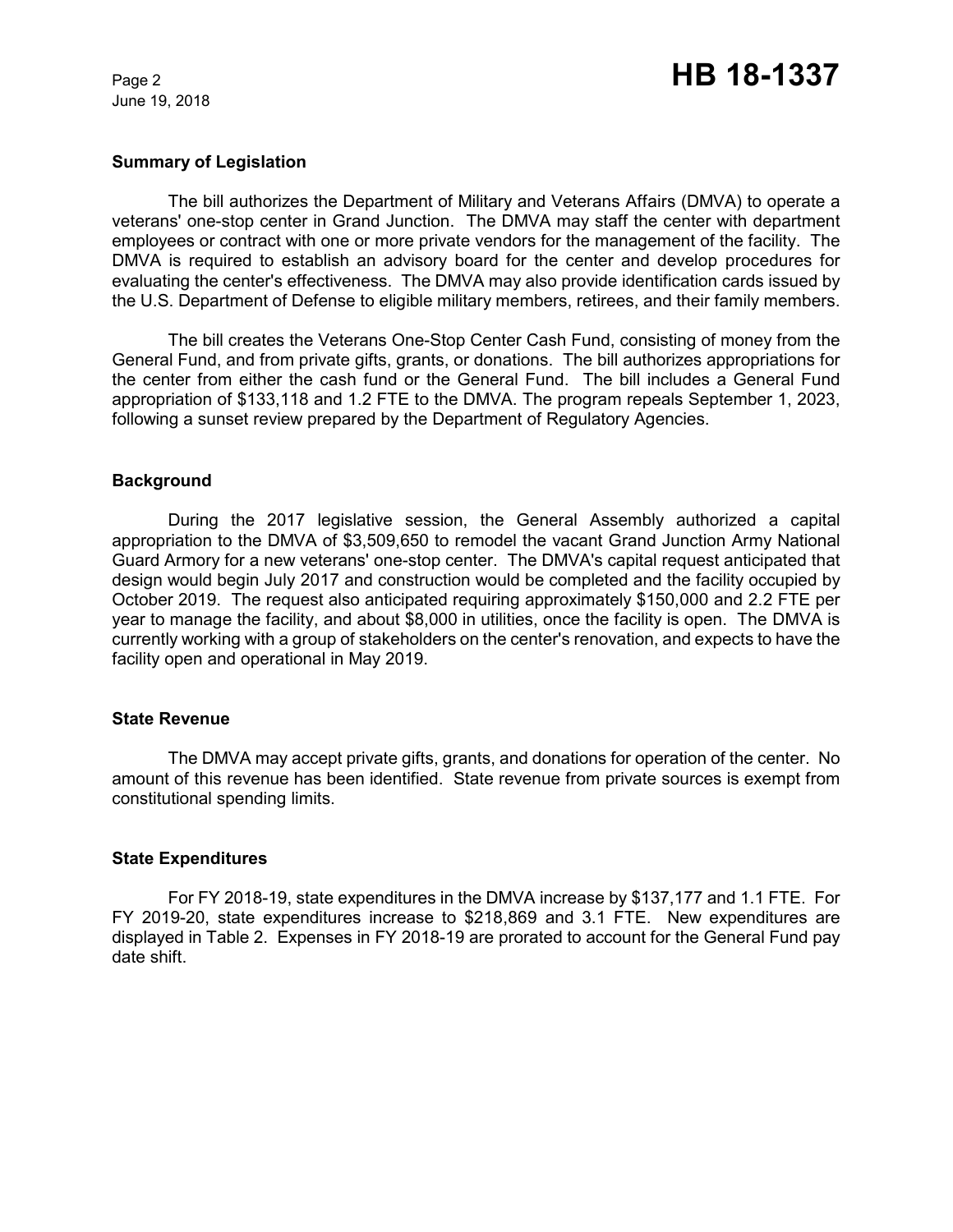June 19, 2018

# **Summary of Legislation**

The bill authorizes the Department of Military and Veterans Affairs (DMVA) to operate a veterans' one-stop center in Grand Junction. The DMVA may staff the center with department employees or contract with one or more private vendors for the management of the facility. The DMVA is required to establish an advisory board for the center and develop procedures for evaluating the center's effectiveness. The DMVA may also provide identification cards issued by the U.S. Department of Defense to eligible military members, retirees, and their family members.

The bill creates the Veterans One-Stop Center Cash Fund, consisting of money from the General Fund, and from private gifts, grants, or donations. The bill authorizes appropriations for the center from either the cash fund or the General Fund. The bill includes a General Fund appropriation of \$133,118 and 1.2 FTE to the DMVA. The program repeals September 1, 2023, following a sunset review prepared by the Department of Regulatory Agencies.

### **Background**

During the 2017 legislative session, the General Assembly authorized a capital appropriation to the DMVA of \$3,509,650 to remodel the vacant Grand Junction Army National Guard Armory for a new veterans' one-stop center. The DMVA's capital request anticipated that design would begin July 2017 and construction would be completed and the facility occupied by October 2019. The request also anticipated requiring approximately \$150,000 and 2.2 FTE per year to manage the facility, and about \$8,000 in utilities, once the facility is open. The DMVA is currently working with a group of stakeholders on the center's renovation, and expects to have the facility open and operational in May 2019.

### **State Revenue**

The DMVA may accept private gifts, grants, and donations for operation of the center. No amount of this revenue has been identified. State revenue from private sources is exempt from constitutional spending limits.

#### **State Expenditures**

For FY 2018-19, state expenditures in the DMVA increase by \$137,177 and 1.1 FTE. For FY 2019-20, state expenditures increase to \$218,869 and 3.1 FTE. New expenditures are displayed in Table 2. Expenses in FY 2018-19 are prorated to account for the General Fund pay date shift.